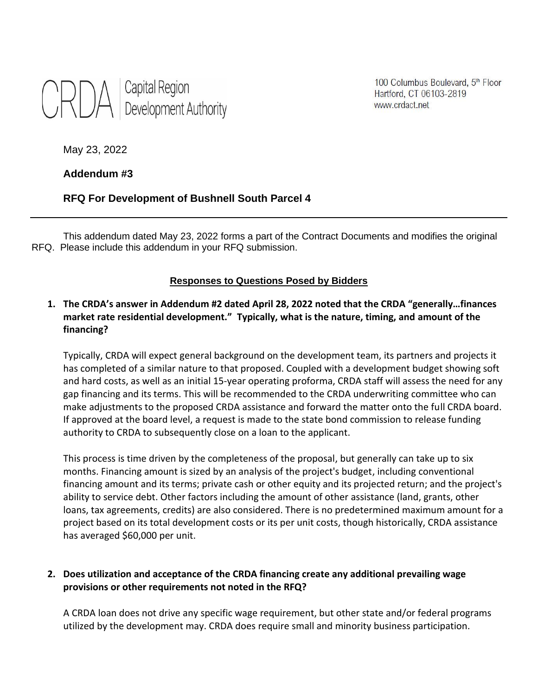

100 Columbus Boulevard, 5th Floor Hartford, CT 06103-2819 www.crdact.net

May 23, 2022

## **Addendum #3**

# **RFQ For Development of Bushnell South Parcel 4**

This addendum dated May 23, 2022 forms a part of the Contract Documents and modifies the original RFQ. Please include this addendum in your RFQ submission.

### **Responses to Questions Posed by Bidders**

# **1. The CRDA's answer in Addendum #2 dated April 28, 2022 noted that the CRDA "generally…finances market rate residential development." Typically, what is the nature, timing, and amount of the financing?**

Typically, CRDA will expect general background on the development team, its partners and projects it has completed of a similar nature to that proposed. Coupled with a development budget showing soft and hard costs, as well as an initial 15-year operating proforma, CRDA staff will assess the need for any gap financing and its terms. This will be recommended to the CRDA underwriting committee who can make adjustments to the proposed CRDA assistance and forward the matter onto the full CRDA board. If approved at the board level, a request is made to the state bond commission to release funding authority to CRDA to subsequently close on a loan to the applicant.

This process is time driven by the completeness of the proposal, but generally can take up to six months. Financing amount is sized by an analysis of the project's budget, including conventional financing amount and its terms; private cash or other equity and its projected return; and the project's ability to service debt. Other factors including the amount of other assistance (land, grants, other loans, tax agreements, credits) are also considered. There is no predetermined maximum amount for a project based on its total development costs or its per unit costs, though historically, CRDA assistance has averaged \$60,000 per unit.

## **2. Does utilization and acceptance of the CRDA financing create any additional prevailing wage provisions or other requirements not noted in the RFQ?**

A CRDA loan does not drive any specific wage requirement, but other state and/or federal programs utilized by the development may. CRDA does require small and minority business participation.